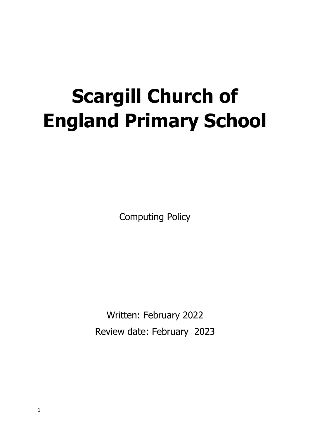# **Scargill Church of England Primary School**

Computing Policy

Written: February 2022 Review date: February 2023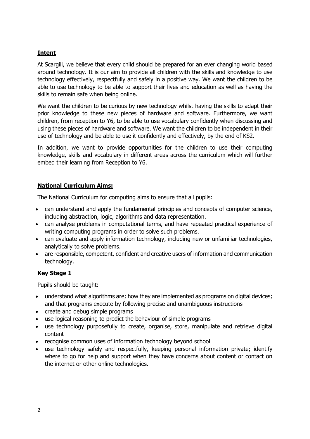## **Intent**

At Scargill, we believe that every child should be prepared for an ever changing world based around technology. It is our aim to provide all children with the skills and knowledge to use technology effectively, respectfully and safely in a positive way. We want the children to be able to use technology to be able to support their lives and education as well as having the skills to remain safe when being online.

We want the children to be curious by new technology whilst having the skills to adapt their prior knowledge to these new pieces of hardware and software. Furthermore, we want children, from reception to Y6, to be able to use vocabulary confidently when discussing and using these pieces of hardware and software. We want the children to be independent in their use of technology and be able to use it confidently and effectively, by the end of KS2.

In addition, we want to provide opportunities for the children to use their computing knowledge, skills and vocabulary in different areas across the curriculum which will further embed their learning from Reception to Y6.

## **National Curriculum Aims:**

The National Curriculum for computing aims to ensure that all pupils:

- can understand and apply the fundamental principles and concepts of computer science, including abstraction, logic, algorithms and data representation.
- can analyse problems in computational terms, and have repeated practical experience of writing computing programs in order to solve such problems.
- can evaluate and apply information technology, including new or unfamiliar technologies, analytically to solve problems.
- are responsible, competent, confident and creative users of information and communication technology.

## **Key Stage 1**

Pupils should be taught:

- understand what algorithms are; how they are implemented as programs on digital devices; and that programs execute by following precise and unambiguous instructions
- create and debug simple programs
- use logical reasoning to predict the behaviour of simple programs
- use technology purposefully to create, organise, store, manipulate and retrieve digital content
- recognise common uses of information technology beyond school
- use technology safely and respectfully, keeping personal information private; identify where to go for help and support when they have concerns about content or contact on the internet or other online technologies.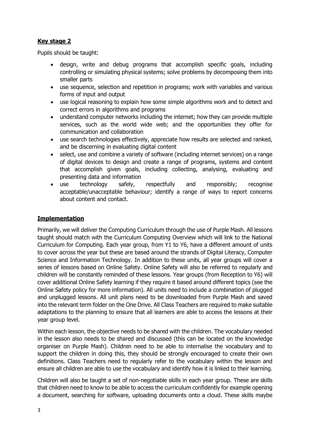# **Key stage 2**

Pupils should be taught:

- design, write and debug programs that accomplish specific goals, including controlling or simulating physical systems; solve problems by decomposing them into smaller parts
- use sequence, selection and repetition in programs; work with variables and various forms of input and output
- use logical reasoning to explain how some simple algorithms work and to detect and correct errors in algorithms and programs
- understand computer networks including the internet; how they can provide multiple services, such as the world wide web; and the opportunities they offer for communication and collaboration
- use search technologies effectively, appreciate how results are selected and ranked, and be discerning in evaluating digital content
- select, use and combine a variety of software (including internet services) on a range of digital devices to design and create a range of programs, systems and content that accomplish given goals, including collecting, analysing, evaluating and presenting data and information
- use technology safely, respectfully and responsibly; recognise acceptable/unacceptable behaviour; identify a range of ways to report concerns about content and contact.

## **Implementation**

Primarily, we will deliver the Computing Curriculum through the use of Purple Mash. All lessons taught should match with the Curriculum Computing Overview which will link to the National Curriculum for Computing. Each year group, from Y1 to Y6, have a different amount of units to cover across the year but these are based around the strands of Digital Literacy, Computer Science and Information Technology. In addition to these units, all year groups will cover a series of lessons based on Online Safety. Online Safety will also be referred to regularly and children will be constantly reminded of these lessons. Year groups (from Reception to Y6) will cover additional Online Safety learning if they require it based around different topics (see the Online Safety policy for more information). All units need to include a combination of plugged and unplugged lessons. All unit plans need to be downloaded from Purple Mash and saved into the relevant term folder on the One Drive. All Class Teachers are required to make suitable adaptations to the planning to ensure that all learners are able to access the lessons at their year group level.

Within each lesson, the objective needs to be shared with the children. The vocabulary needed in the lesson also needs to be shared and discussed (this can be located on the knowledge organiser on Purple Mash). Children need to be able to internalise the vocabulary and to support the children in doing this, they should be strongly encouraged to create their own definitions. Class Teachers need to regularly refer to the vocabulary within the lesson and ensure all children are able to use the vocabulary and identify how it is linked to their learning.

Children will also be taught a set of non-negotiable skills in each year group. These are skills that children need to know to be able to access the curriculum confidently for example opening a document, searching for software, uploading documents onto a cloud. These skills maybe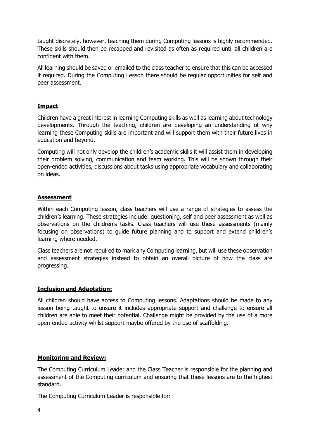taught discretely, however, teaching them during Computing lessons is highly recommended. These skills should then be recapped and revisited as often as required until all children are confident with them.

All learning should be saved or emailed to the class teacher to ensure that this can be accessed if required. During the Computing Lesson there should be regular opportunities for self and peer assessment.

#### **Impact**

Children have a great interest in learning Computing skills as well as learning about technology developments. Through the teaching, children are developing an understanding of why learning these Computing skills are important and will support them with their future lives in education and beyond.

Computing will not only develop the children's academic skills it will assist them in developing their problem solving, communication and team working. This will be shown through their open-ended activities, discussions about tasks using appropriate vocabulary and collaborating on ideas.

#### **Assessment**

Within each Computing lesson, class teachers will use a range of strategies to assess the children's learning. These strategies include: questioning, self and peer assessment as well as observations on the children's tasks. Class teachers will use these assessments (mainly focusing on observations) to guide future planning and to support and extend children's learning where needed.

Class teachers are not required to mark any Computing learning, but will use these observation and assessment strategies instead to obtain an overall picture of how the class are progressing.

## **Inclusion and Adaptation:**

All children should have access to Computing lessons. Adaptations should be made to any lesson being taught to ensure it includes appropriate support and challenge to ensure all children are able to meet their potential. Challenge might be provided by the use of a more open-ended activity whilst support maybe offered by the use of scaffolding.

## **Monitoring and Review:**

The Computing Curriculum Leader and the Class Teacher is responsible for the planning and assessment of the Computing curriculum and ensuring that these lessons are to the highest standard.

The Computing Curriculum Leader is responsible for: